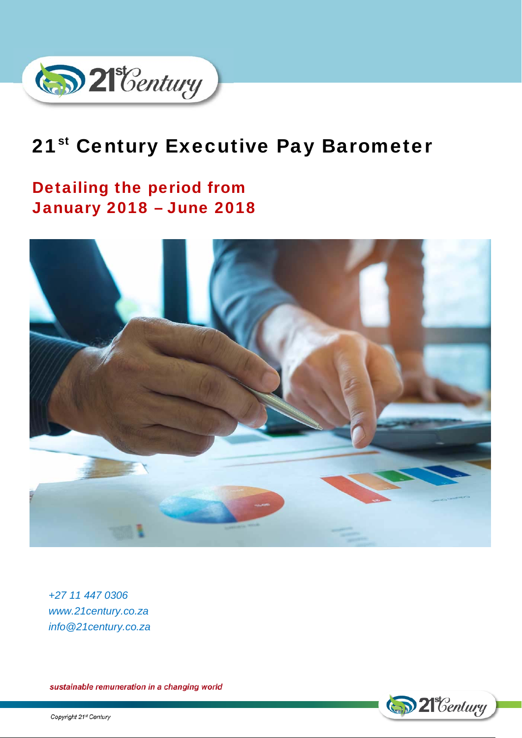

# 21<sup>st</sup> Century Executive Pay Barometer

# Detailing the period from January 2018 – June 2018



*+27 11 447 0306 www.21century.co.za info@21century.co.za* 

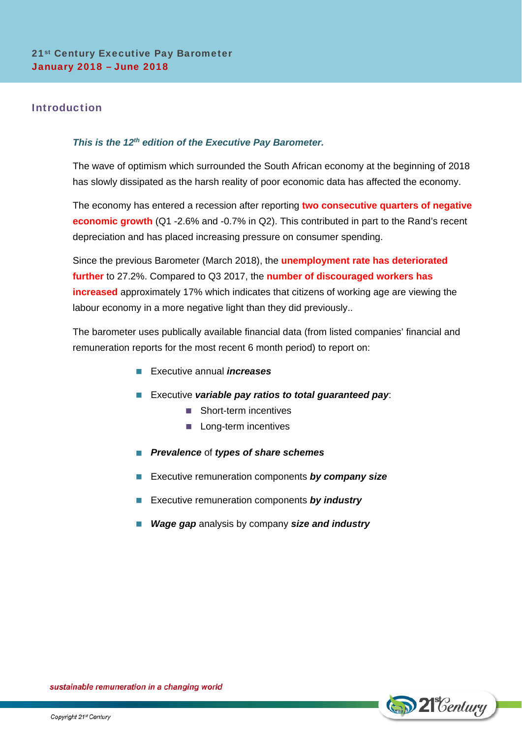# Introduction

# *This is the 12th edition of the Executive Pay Barometer.*

The wave of optimism which surrounded the South African economy at the beginning of 2018 has slowly dissipated as the harsh reality of poor economic data has affected the economy.

The economy has entered a recession after reporting **two consecutive quarters of negative economic growth** (Q1 -2.6% and -0.7% in Q2). This contributed in part to the Rand's recent depreciation and has placed increasing pressure on consumer spending.

Since the previous Barometer (March 2018), the **unemployment rate has deteriorated further** to 27.2%. Compared to Q3 2017, the **number of discouraged workers has increased** approximately 17% which indicates that citizens of working age are viewing the labour economy in a more negative light than they did previously..

The barometer uses publically available financial data (from listed companies' financial and remuneration reports for the most recent 6 month period) to report on:

- Executive annual *increases*
- **EXECUTE** *variable pay ratios to total guaranteed pay***:** 
	- Short-term incentives
	- **Long-term incentives**
- *Prevalence* of *types of share schemes*
- **EXECUTE:** Executive remuneration components **by company size**
- **Executive remuneration components by industry**
- *Wage gap* analysis by company *size and industry*

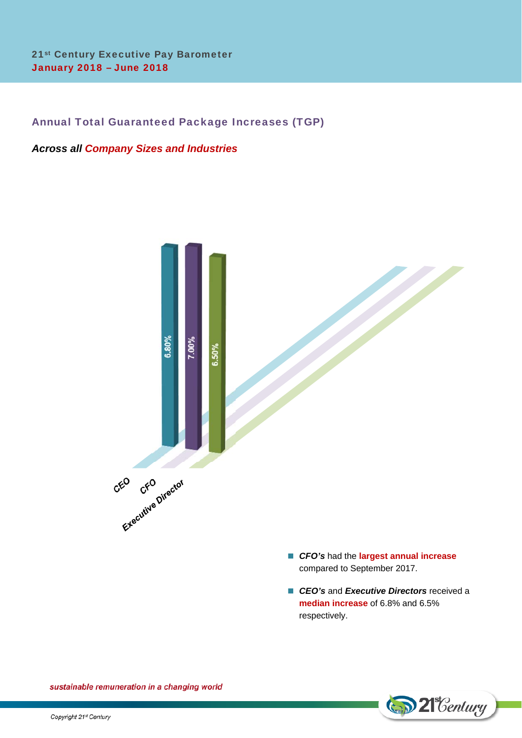# Annual Total Guaranteed Package Increases (TGP)

# *Across all Company Sizes and Industries*



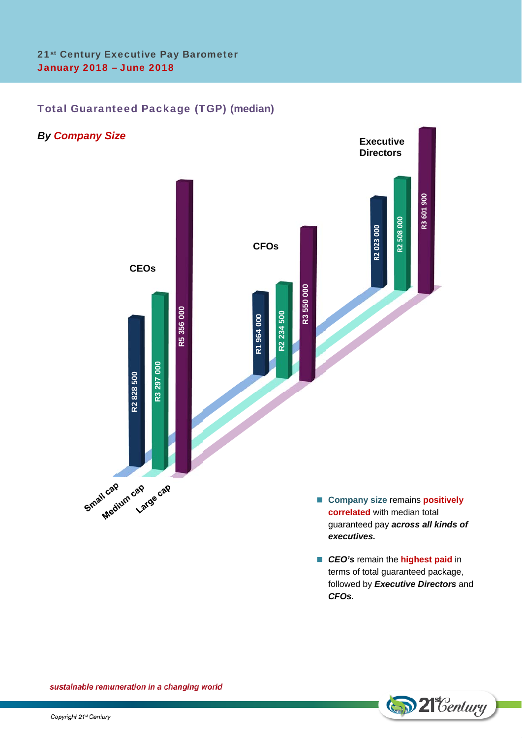# Total Guaranteed Package (TGP) **(median)**



**D** 21 *Century* 

*CFOs.*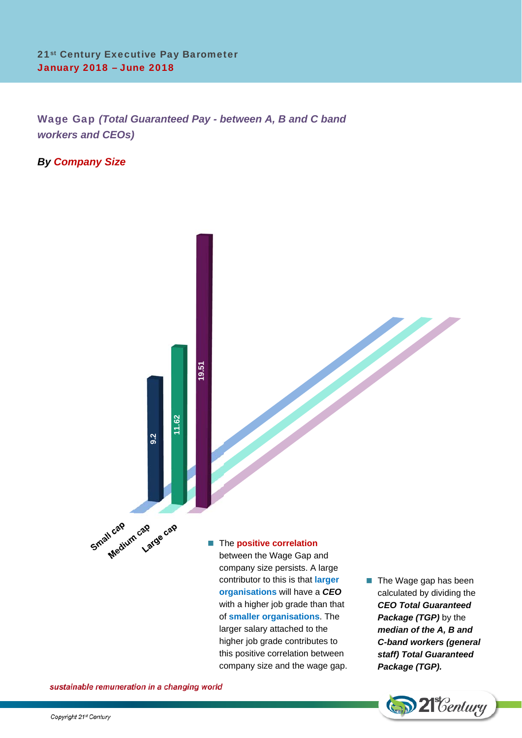Wage Gap *(Total Guaranteed Pay - between A, B and C band workers and CEOs)*

*By Company Size*



**organisations** will have a *CEO* with a higher job grade than that of **smaller organisations**. The larger salary attached to the higher job grade contributes to this positive correlation between company size and the wage gap.

calculated by dividing the *CEO Total Guaranteed*  **Package (TGP)** by the *median of the A, B and C-band workers (general staff) Total Guaranteed Package (TGP).* 

**D** 21 Century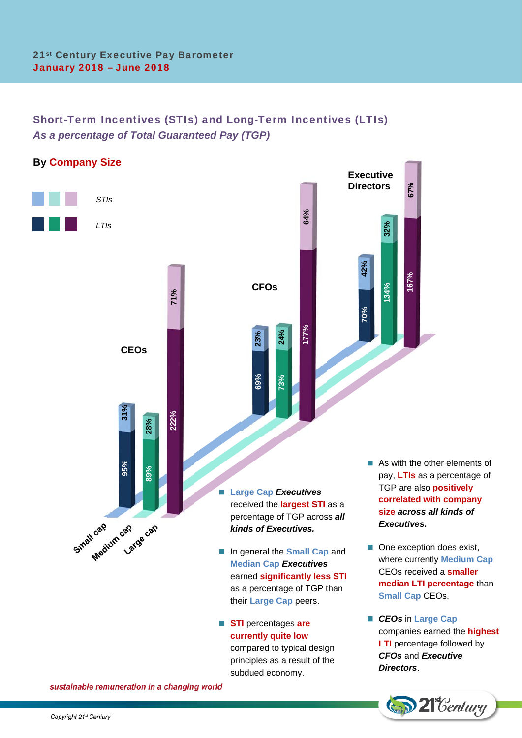Ĩ

# Short-Term Incentives (STIs) and Long-Term Incentives (LTIs) *As a percentage of Total Guaranteed Pay (TGP)*



 **STI** percentages **are currently quite low**

subdued economy.

compared to typical design principles as a result of the

 *CEOs* in **Large Cap** companies earned the **highest LTI** percentage followed by *CFOs* and *Executive Directors*.

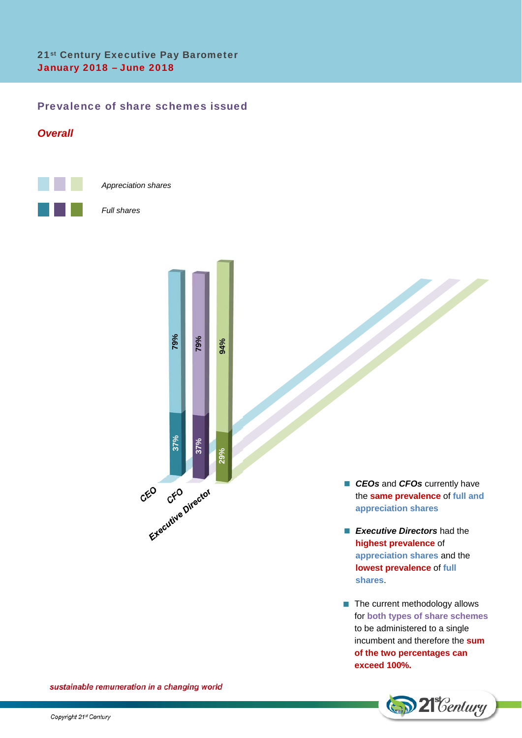# Prevalence of share schemes issued

# *Overall*



*Appreciation shares* 

#### *Full shares*



**CEOs** and **CFOs** currently have the **same prevalence** of **full and appreciation shares**

 $\overline{\phantom{a}}$ 

- **Executive Directors** had the **highest prevalence** of **appreciation shares** and the **lowest prevalence** of **full shares**.
- $\blacksquare$  The current methodology allows for **both types of share schemes** to be administered to a single incumbent and therefore the **sum of the two percentages can exceed 100%.**

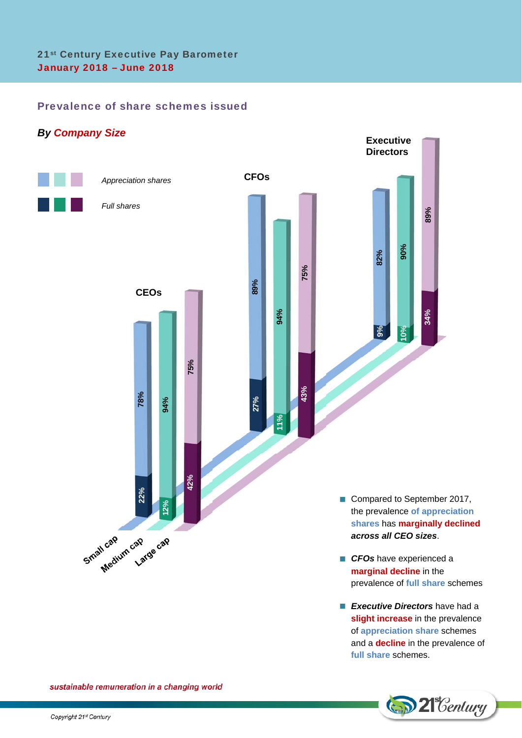## Prevalence of share schemes issued



**Executive Directors** have had a **slight increase** in the prevalence of **appreciation share** schemes and a **decline** in the prevalence of **full share** schemes.

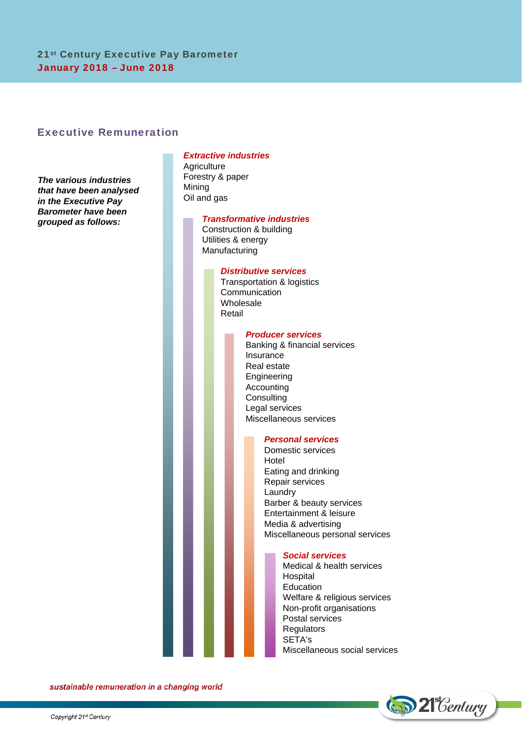# Executive Remuneration

*The various industries that have been analysed in the Executive Pay Barometer have been grouped as follows:* 

## *Extractive industries*

**Agriculture** Forestry & paper Mining Oil and gas

#### *Transformative industries*

Construction & building Utilities & energy Manufacturing

#### *Distributive services*

Transportation & logistics Communication Wholesale Retail

#### *Producer services*

Banking & financial services Insurance Real estate Engineering Accounting **Consulting** Legal services Miscellaneous services

#### *Personal services*

Domestic services Hotel Eating and drinking Repair services Laundry Barber & beauty services Entertainment & leisure Media & advertising Miscellaneous personal services

#### *Social services*

Medical & health services Hospital **Education** Welfare & religious services Non-profit organisations Postal services **Regulators** SETA's Miscellaneous social services

**D** 21 Century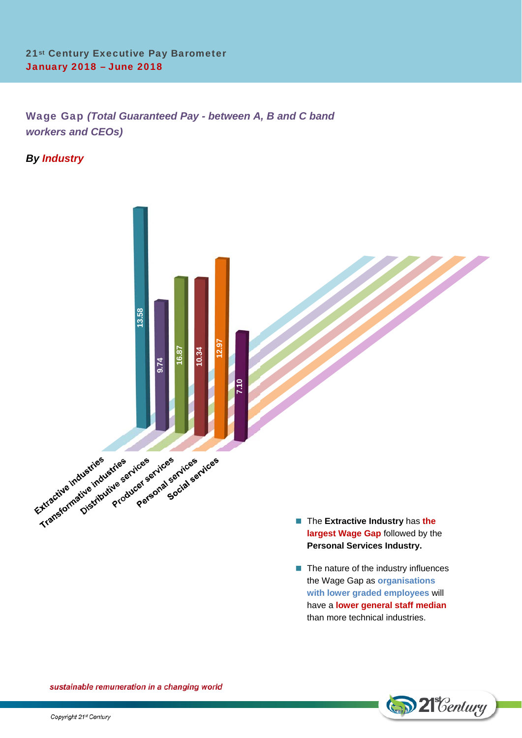Wage Gap *(Total Guaranteed Pay - between A, B and C band workers and CEOs)*

# *By Industry*



**D** 21 Century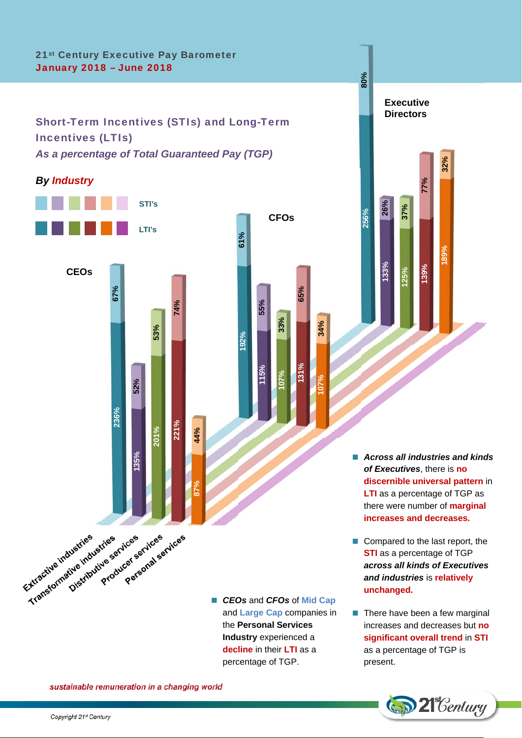# 21st Century Executive Pay Barometer January 2018 – June 2018

# Short-Term Incentives (STIs) and Long-Term Incentives (LTIs) *As a percentage of Total Guaranteed Pay (TGP)*

*By Industry*



■ CEOs and CFOs of Mid Cap and **Large Cap** companies in the **Personal Services Industry** experienced a **decline** in their **LTI** as a percentage of TGP.

**192%**

**61%**

**115%**

**55%**

**107%**

**33%**

**CFOs** 

**131%**

**65%**

**107%**

**34%**



**80%**

- *Across all industries and kinds of Executives*, there is **no discernible universal pattern** in **LTI** as a percentage of TGP as there were number of **marginal increases and decreases.**
- Compared to the last report, the **STI** as a percentage of TGP *across all kinds of Executives and industries* is **relatively unchanged.**
- $\blacksquare$  There have been a few marginal increases and decreases but **no significant overall trend** in **STI** as a percentage of TGP is present.

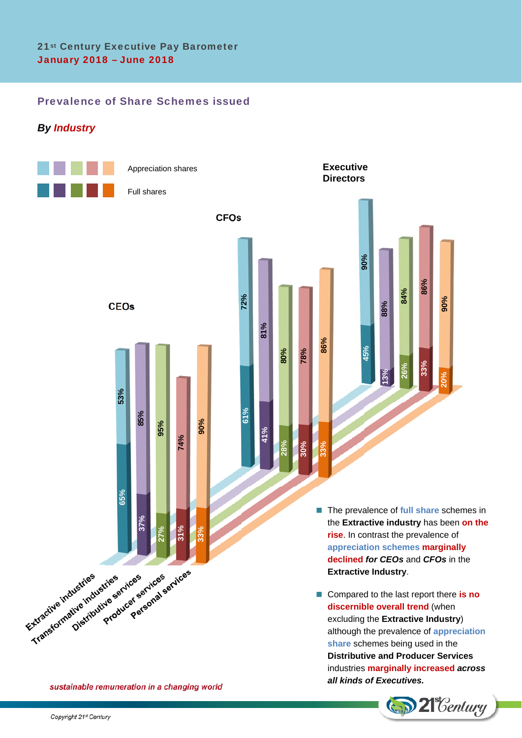# Prevalence of Share Schemes issued

# *By Industry*



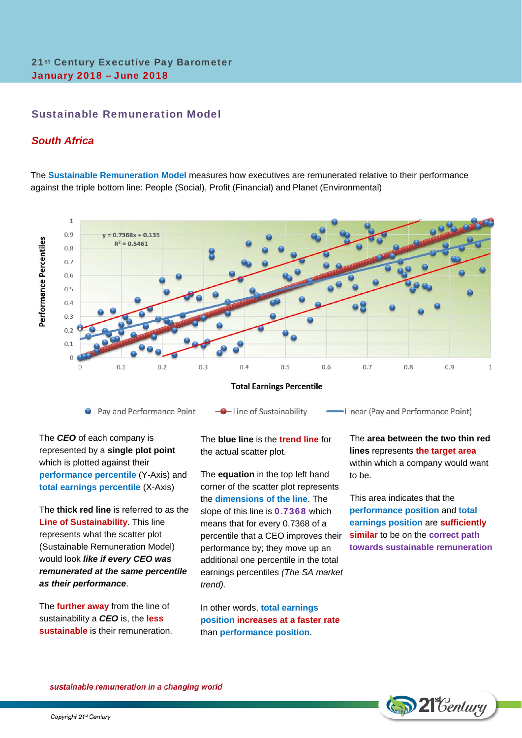# Sustainable Remuneration Model

## *South Africa*

The **Sustainable Remuneration Model** measures how executives are remunerated relative to their performance against the triple bottom line: People (Social), Profit (Financial) and Planet (Environmental)



The *CEO* of each company is represented by a **single plot point** which is plotted against their **performance percentile** (Y-Axis) and **total earnings percentile** (X-Axis)

The **thick red line** is referred to as the **Line of Sustainability**. This line represents what the scatter plot (Sustainable Remuneration Model) would look *like if every CEO was remunerated at the same percentile as their performance*.

The **further away** from the line of sustainability a *CEO* is, the **less sustainable** is their remuneration. The **blue line** is the **trend line** for the actual scatter plot.

The **equation** in the top left hand corner of the scatter plot represents the **dimensions of the line**. The slope of this line is **0.7368** which means that for every 0.7368 of a percentile that a CEO improves their performance by; they move up an additional one percentile in the total earnings percentiles *(The SA market trend).* 

In other words, **total earnings position increases at a faster rate** than **performance position**.

The **area between the two thin red lines** represents **the target area** within which a company would want to be.

This area indicates that the **performance position** and **total earnings position** are **sufficiently similar** to be on the **correct path towards sustainable remuneration**